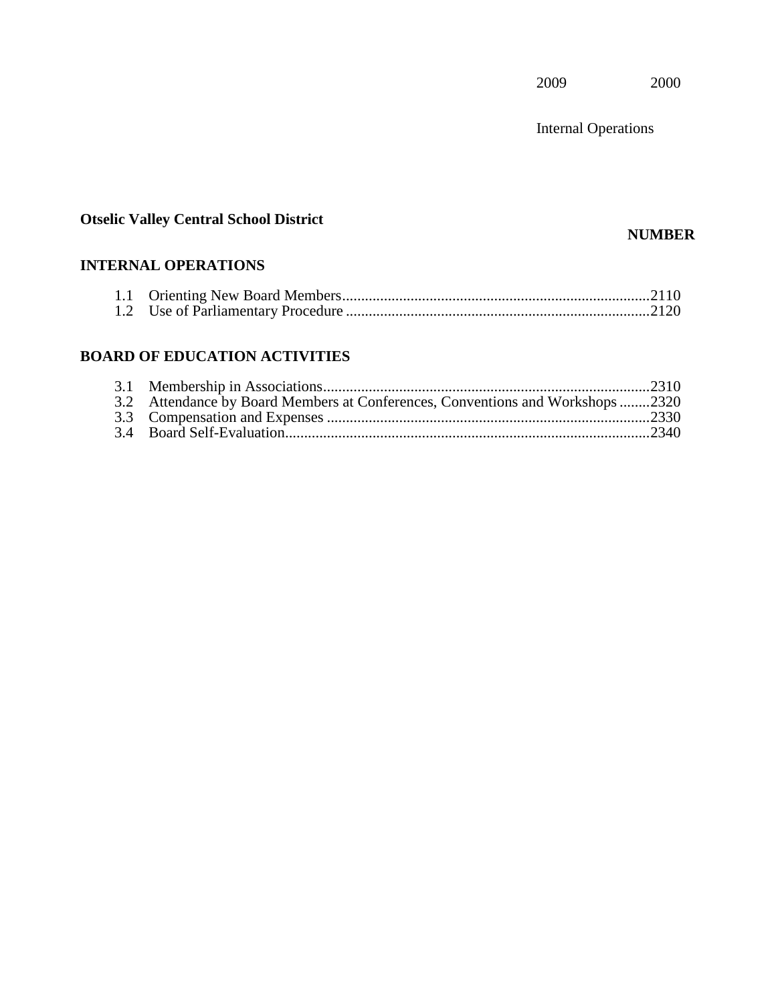Internal Operations

# **Otselic Valley Central School District**

### **NUMBER**

## **INTERNAL OPERATIONS**

## **BOARD OF EDUCATION ACTIVITIES**

| 3.2 Attendance by Board Members at Conferences, Conventions and Workshops2320 |  |
|-------------------------------------------------------------------------------|--|
|                                                                               |  |
|                                                                               |  |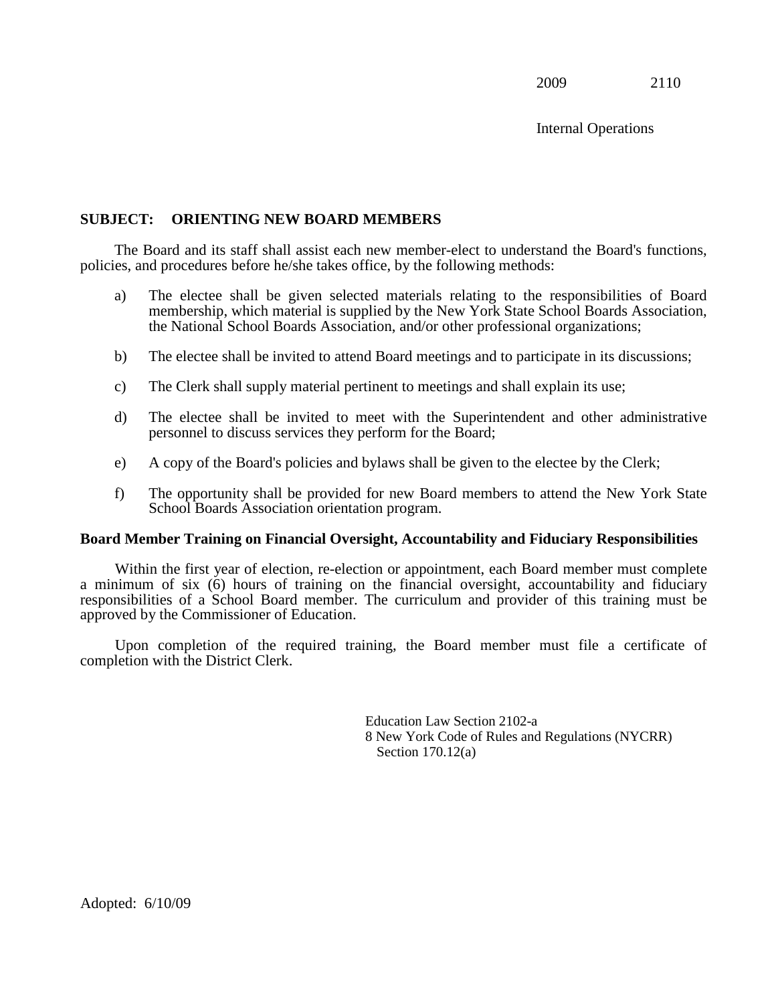Internal Operations

#### **SUBJECT: ORIENTING NEW BOARD MEMBERS**

The Board and its staff shall assist each new member-elect to understand the Board's functions, policies, and procedures before he/she takes office, by the following methods:

- a) The electee shall be given selected materials relating to the responsibilities of Board membership, which material is supplied by the New York State School Boards Association, the National School Boards Association, and/or other professional organizations;
- b) The electee shall be invited to attend Board meetings and to participate in its discussions;
- c) The Clerk shall supply material pertinent to meetings and shall explain its use;
- d) The electee shall be invited to meet with the Superintendent and other administrative personnel to discuss services they perform for the Board;
- e) A copy of the Board's policies and bylaws shall be given to the electee by the Clerk;
- f) The opportunity shall be provided for new Board members to attend the New York State School Boards Association orientation program.

#### **Board Member Training on Financial Oversight, Accountability and Fiduciary Responsibilities**

Within the first year of election, re-election or appointment, each Board member must complete a minimum of six (6) hours of training on the financial oversight, accountability and fiduciary responsibilities of a School Board member. The curriculum and provider of this training must be approved by the Commissioner of Education.

Upon completion of the required training, the Board member must file a certificate of completion with the District Clerk.

> Education Law Section 2102-a 8 New York Code of Rules and Regulations (NYCRR) Section 170.12(a)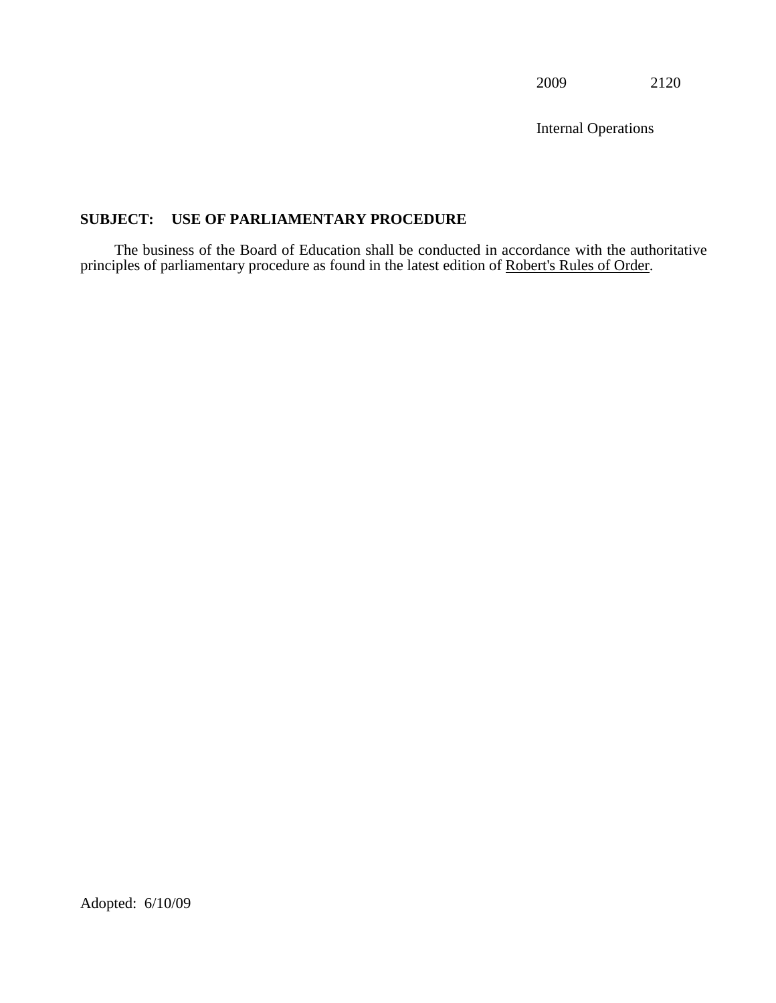Internal Operations

# **SUBJECT: USE OF PARLIAMENTARY PROCEDURE**

The business of the Board of Education shall be conducted in accordance with the authoritative principles of parliamentary procedure as found in the latest edition of Robert's Rules of Order.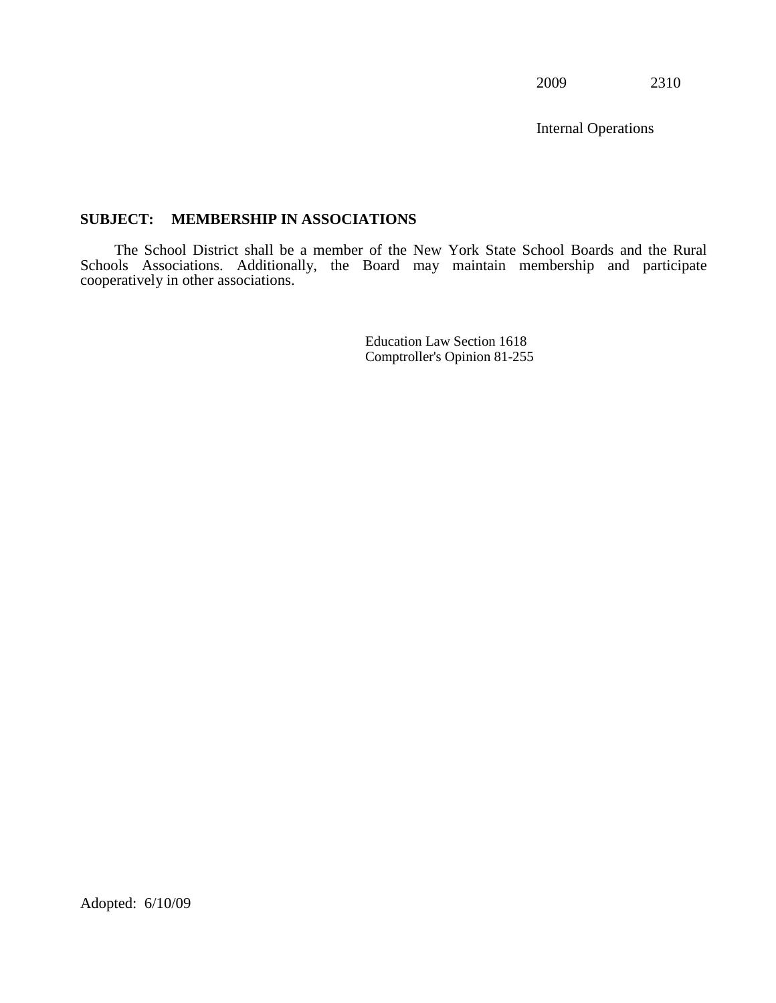Internal Operations

#### **SUBJECT: MEMBERSHIP IN ASSOCIATIONS**

The School District shall be a member of the New York State School Boards and the Rural Schools Associations. Additionally, the Board may maintain membership and participate cooperatively in other associations.

> Education Law Section 1618 Comptroller's Opinion 81-255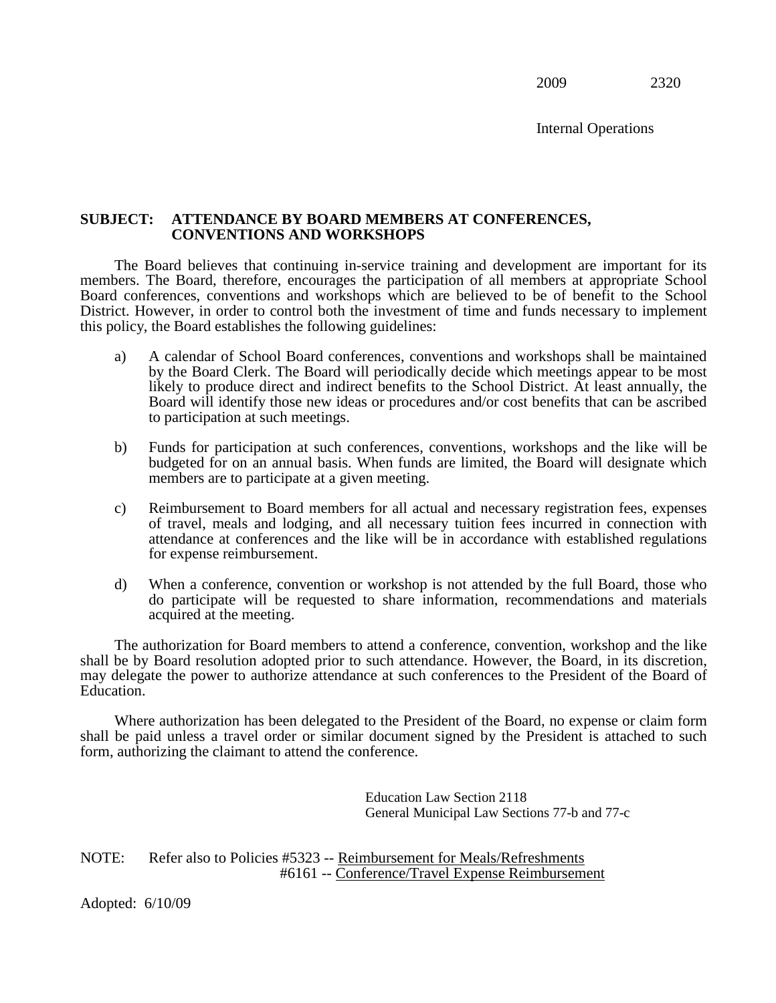Internal Operations

#### **SUBJECT: ATTENDANCE BY BOARD MEMBERS AT CONFERENCES, CONVENTIONS AND WORKSHOPS**

The Board believes that continuing in-service training and development are important for its members. The Board, therefore, encourages the participation of all members at appropriate School Board conferences, conventions and workshops which are believed to be of benefit to the School District. However, in order to control both the investment of time and funds necessary to implement this policy, the Board establishes the following guidelines:

- a) A calendar of School Board conferences, conventions and workshops shall be maintained by the Board Clerk. The Board will periodically decide which meetings appear to be most likely to produce direct and indirect benefits to the School District. At least annually, the Board will identify those new ideas or procedures and/or cost benefits that can be ascribed to participation at such meetings.
- b) Funds for participation at such conferences, conventions, workshops and the like will be budgeted for on an annual basis. When funds are limited, the Board will designate which members are to participate at a given meeting.
- c) Reimbursement to Board members for all actual and necessary registration fees, expenses of travel, meals and lodging, and all necessary tuition fees incurred in connection with attendance at conferences and the like will be in accordance with established regulations for expense reimbursement.
- d) When a conference, convention or workshop is not attended by the full Board, those who do participate will be requested to share information, recommendations and materials acquired at the meeting.

The authorization for Board members to attend a conference, convention, workshop and the like shall be by Board resolution adopted prior to such attendance. However, the Board, in its discretion, may delegate the power to authorize attendance at such conferences to the President of the Board of Education.

Where authorization has been delegated to the President of the Board, no expense or claim form shall be paid unless a travel order or similar document signed by the President is attached to such form, authorizing the claimant to attend the conference.

> Education Law Section 2118 General Municipal Law Sections 77-b and 77-c

NOTE: Refer also to Policies #5323 -- Reimbursement for Meals/Refreshments #6161 -- Conference/Travel Expense Reimbursement

Adopted: 6/10/09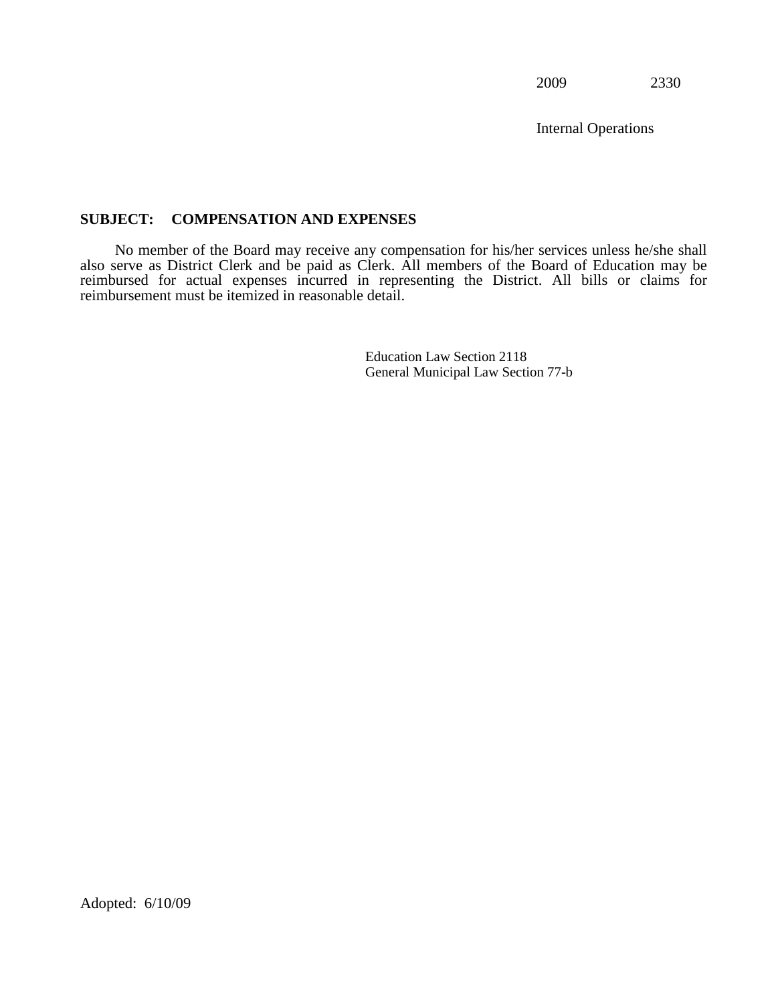Internal Operations

### **SUBJECT: COMPENSATION AND EXPENSES**

No member of the Board may receive any compensation for his/her services unless he/she shall also serve as District Clerk and be paid as Clerk. All members of the Board of Education may be reimbursed for actual expenses incurred in representing the District. All bills or claims for reimbursement must be itemized in reasonable detail.

> Education Law Section 2118 General Municipal Law Section 77-b

Adopted: 6/10/09